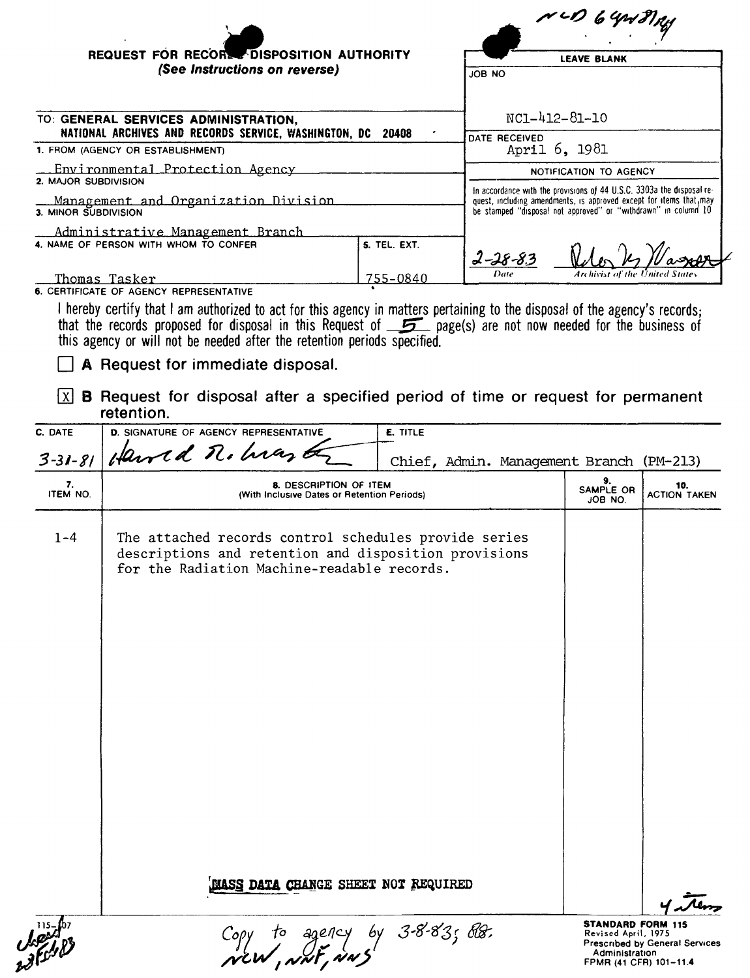|                      |                                                                                                                                                                                                                                                                                                                                                                                   |                 |                                                                                                                                                                                                                | $\sim$ 6 Yr $\gamma$                                            |                                       |
|----------------------|-----------------------------------------------------------------------------------------------------------------------------------------------------------------------------------------------------------------------------------------------------------------------------------------------------------------------------------------------------------------------------------|-----------------|----------------------------------------------------------------------------------------------------------------------------------------------------------------------------------------------------------------|-----------------------------------------------------------------|---------------------------------------|
|                      | REQUEST FOR RECORD DISPOSITION AUTHORITY                                                                                                                                                                                                                                                                                                                                          |                 | <b>LEAVE BLANK</b>                                                                                                                                                                                             |                                                                 |                                       |
|                      | (See Instructions on reverse)                                                                                                                                                                                                                                                                                                                                                     |                 | JOB NO                                                                                                                                                                                                         |                                                                 |                                       |
|                      |                                                                                                                                                                                                                                                                                                                                                                                   |                 |                                                                                                                                                                                                                |                                                                 |                                       |
|                      | TO: GENERAL SERVICES ADMINISTRATION,                                                                                                                                                                                                                                                                                                                                              |                 | $NC1 - 412 - 81 - 10$                                                                                                                                                                                          |                                                                 |                                       |
|                      | NATIONAL ARCHIVES AND RECORDS SERVICE, WASHINGTON, DC                                                                                                                                                                                                                                                                                                                             | 20408           | DATE RECEIVED                                                                                                                                                                                                  |                                                                 |                                       |
|                      | 1. FROM (AGENCY OR ESTABLISHMENT)                                                                                                                                                                                                                                                                                                                                                 |                 | April 6, 1981                                                                                                                                                                                                  |                                                                 |                                       |
| 2. MAJOR SUBDIVISION | Environmental Protection Agency                                                                                                                                                                                                                                                                                                                                                   |                 |                                                                                                                                                                                                                | NOTIFICATION TO AGENCY                                          |                                       |
| 3. MINOR SUBDIVISION | Management and Organization Division                                                                                                                                                                                                                                                                                                                                              |                 | In accordance with the provisions of 44 U.S.C. 3303a the disposal re-<br>quest, including amendments, is approved except for items that, may<br>be stamped "disposal not approved" or "withdrawn" in column 10 |                                                                 |                                       |
|                      | Administrative Management Branch<br>4. NAME OF PERSON WITH WHOM TO CONFER                                                                                                                                                                                                                                                                                                         | 5. TEL. EXT.    |                                                                                                                                                                                                                |                                                                 |                                       |
|                      | <u>Thomas Tasker</u>                                                                                                                                                                                                                                                                                                                                                              | 755-0840        | Date                                                                                                                                                                                                           |                                                                 |                                       |
|                      | 6. CERTIFICATE OF AGENCY REPRESENTATIVE                                                                                                                                                                                                                                                                                                                                           |                 |                                                                                                                                                                                                                |                                                                 |                                       |
|                      | I hereby certify that I am authorized to act for this agency in matters pertaining to the disposal of the agency's records;<br>that the records proposed for disposal in this Request of $\overline{\mathcal{L}}$ page(s) are not now needed for the business of<br>this agency or will not be needed after the retention periods specified.<br>A Request for immediate disposal. |                 |                                                                                                                                                                                                                |                                                                 |                                       |
| X                    | <b>B</b> Request for disposal after a specified period of time or request for permanent<br>retention.                                                                                                                                                                                                                                                                             |                 |                                                                                                                                                                                                                |                                                                 |                                       |
| C. DATE              | <b>D. SIGNATURE OF AGENCY REPRESENTATIVE</b>                                                                                                                                                                                                                                                                                                                                      | <b>E. TITLE</b> |                                                                                                                                                                                                                |                                                                 |                                       |
| $3 - 31 - 81$        | Harrid n. hrant                                                                                                                                                                                                                                                                                                                                                                   |                 | Chief, Admin. Management Branch (PM-213)                                                                                                                                                                       |                                                                 |                                       |
| 7.<br>ITEM NO.       | 8. DESCRIPTION OF ITEM<br>(With Inclusive Dates or Retention Periods)                                                                                                                                                                                                                                                                                                             |                 |                                                                                                                                                                                                                | 9.<br>SAMPLE OR<br>JOB NO.                                      | 10.<br><b>ACTION TAKEN</b>            |
| $1 - 4$              | The attached records control schedules provide series<br>descriptions and retention and disposition provisions<br>for the Radiation Machine-readable records.<br>MASS DATA CHANGE SHEET NOT REQUIRED                                                                                                                                                                              |                 |                                                                                                                                                                                                                |                                                                 |                                       |
|                      |                                                                                                                                                                                                                                                                                                                                                                                   |                 |                                                                                                                                                                                                                | <b>STANDARD FORM 115</b>                                        |                                       |
|                      | Copy to agency by 3-8-83; BB.<br>NEW, NNF, NNS                                                                                                                                                                                                                                                                                                                                    |                 |                                                                                                                                                                                                                | Revised April, 1975<br>Administration<br>FPMR (41 CFR) 101-11.4 | <b>Prescribed by General Services</b> |

| المتعمل<br>الأسمان |  |
|--------------------|--|
|                    |  |
|                    |  |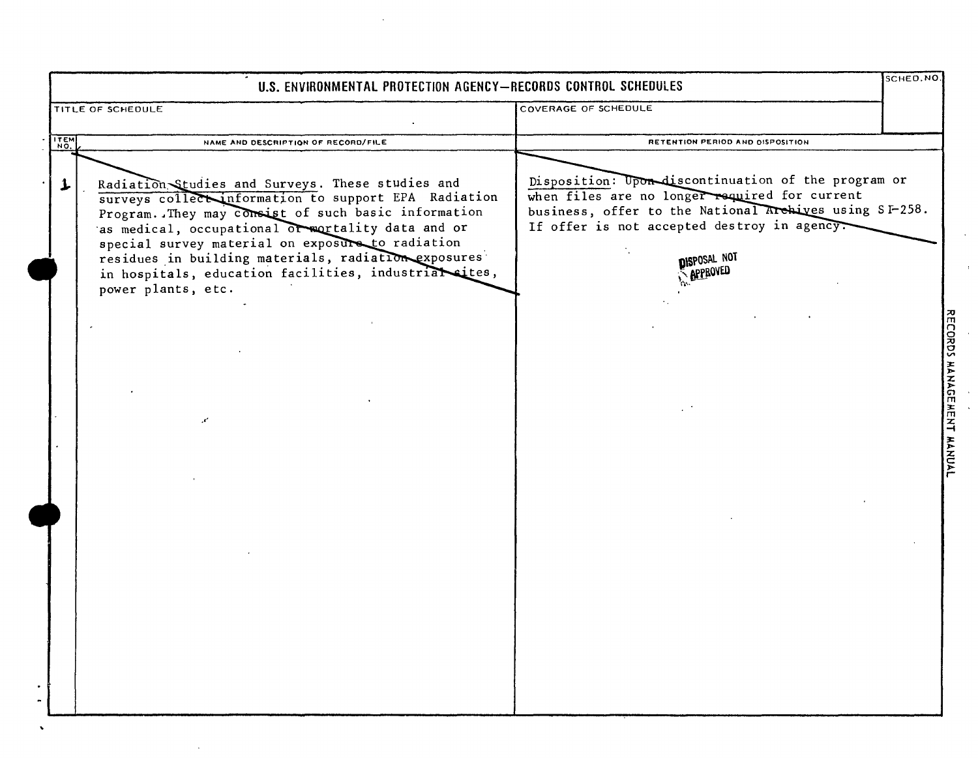| U.S. ENVIRONMENTAL PROTECTION AGENCY-RECORDS CONTROL SCHEDULES |                                                                                                                                                                                                                                                                                                                                                                                                                      |                                                                                                                                                                                                                                                  |                           |
|----------------------------------------------------------------|----------------------------------------------------------------------------------------------------------------------------------------------------------------------------------------------------------------------------------------------------------------------------------------------------------------------------------------------------------------------------------------------------------------------|--------------------------------------------------------------------------------------------------------------------------------------------------------------------------------------------------------------------------------------------------|---------------------------|
|                                                                | TITLE OF SCHEDULE                                                                                                                                                                                                                                                                                                                                                                                                    | COVERAGE OF SCHEDULE                                                                                                                                                                                                                             |                           |
|                                                                | ITEM<br>NAME AND DESCRIPTION OF RECORD/FILE                                                                                                                                                                                                                                                                                                                                                                          | RETENTION PERIOD AND OISPOSITION                                                                                                                                                                                                                 |                           |
|                                                                | Radiation Studies and Surveys. These studies and<br>1.<br>surveys collect information to support EPA Radiation<br>Program. They may consist of such basic information<br>as medical, occupational or mortality data and or<br>special survey material on exposure to radiation<br>residues in building materials, radiation exposures<br>in hospitals, education facilities, industrial cites,<br>power plants, etc. | Disposition: Upon discontinuation of the program or<br>when files are no longer required for current<br>business, offer to the National Archives using SI-258.<br>If offer is not accepted destroy in agency.<br>DISPOSAL NOT<br><b>APPROVED</b> |                           |
|                                                                |                                                                                                                                                                                                                                                                                                                                                                                                                      |                                                                                                                                                                                                                                                  | RECORDS MANAGEMENT MANUAL |
|                                                                |                                                                                                                                                                                                                                                                                                                                                                                                                      |                                                                                                                                                                                                                                                  |                           |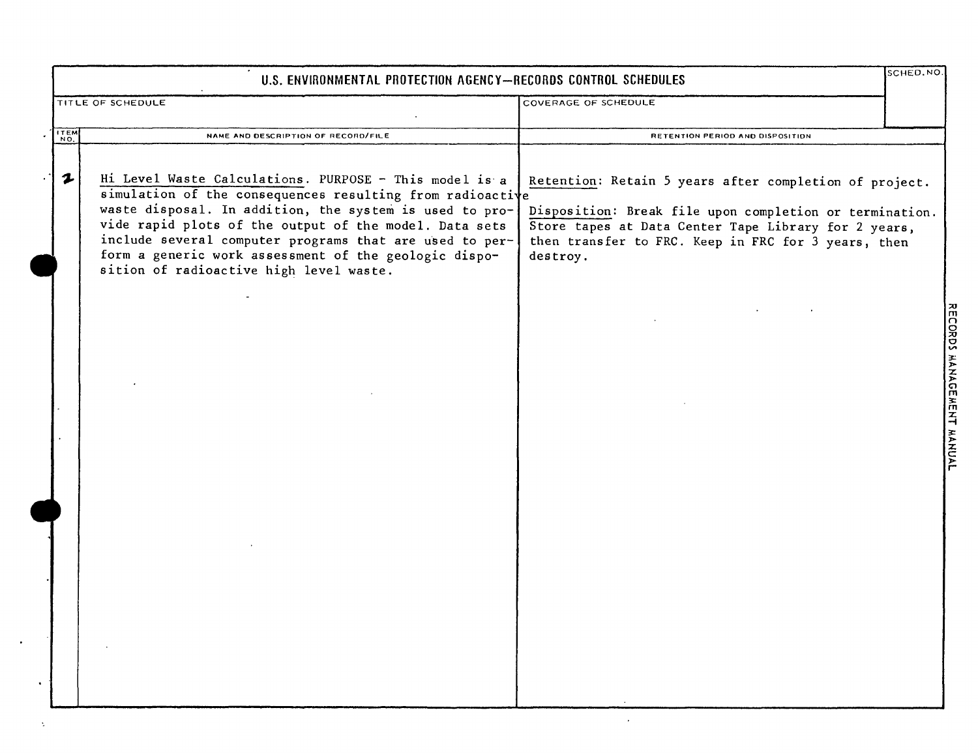|                            | U.S. ENVIRONMENTAL PROTECTION AGENCY-RECORDS CONTROL SCHEDULES                                                                                                                                                                                                                                                                                                                                          |                                                                                                                                                                                                                                              | SCHED. NO.                                         |
|----------------------------|---------------------------------------------------------------------------------------------------------------------------------------------------------------------------------------------------------------------------------------------------------------------------------------------------------------------------------------------------------------------------------------------------------|----------------------------------------------------------------------------------------------------------------------------------------------------------------------------------------------------------------------------------------------|----------------------------------------------------|
|                            | TITLE OF SCHEDULE                                                                                                                                                                                                                                                                                                                                                                                       | COVERAGE OF SCHEDULE                                                                                                                                                                                                                         |                                                    |
| $rac{1}{20}$               | NAME AND DESCRIPTION OF RECORD/FILE                                                                                                                                                                                                                                                                                                                                                                     | RETENTION PERIOD AND DISPOSITION                                                                                                                                                                                                             |                                                    |
| $\boldsymbol{\mathcal{L}}$ | Hi Level Waste Calculations. PURPOSE - This model is a<br>simulation of the consequences resulting from radioactive<br>waste disposal. In addition, the system is used to pro-<br>vide rapid plots of the output of the model. Data sets<br>include several computer programs that are used to per-<br>form a generic work assessment of the geologic dispo-<br>sition of radioactive high level waste. | Retention: Retain 5 years after completion of project.<br>Disposition: Break file upon completion or termination.<br>Store tapes at Data Center Tape Library for 2 years,<br>then transfer to FRC. Keep in FRC for 3 years, then<br>destroy. |                                                    |
|                            |                                                                                                                                                                                                                                                                                                                                                                                                         |                                                                                                                                                                                                                                              | <b>ORDS</b><br><b>HANAGEMENT</b><br>$\overline{Y}$ |
|                            |                                                                                                                                                                                                                                                                                                                                                                                                         |                                                                                                                                                                                                                                              |                                                    |

÷.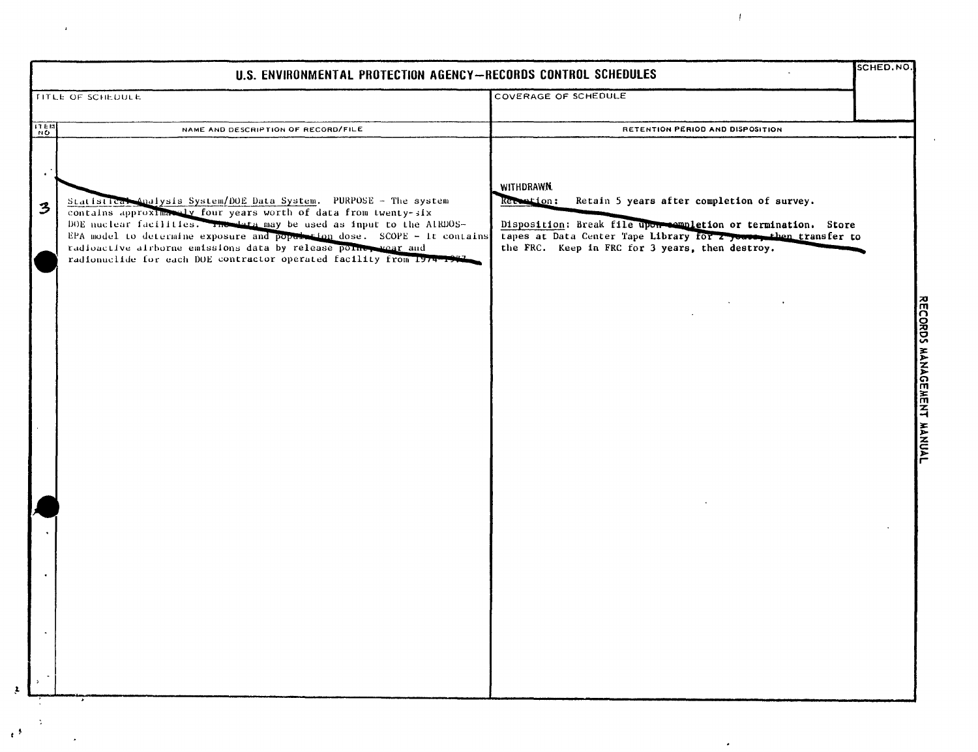| U.S. ENVIRONMENTAL PROTECTION AGENCY-RECORDS CONTROL SCHEDULES |                                                                                                                                                                                                                                                                                                                                                                                                                                     |                                                                                                                                                                                                                                                               | SCHED.NO.                 |
|----------------------------------------------------------------|-------------------------------------------------------------------------------------------------------------------------------------------------------------------------------------------------------------------------------------------------------------------------------------------------------------------------------------------------------------------------------------------------------------------------------------|---------------------------------------------------------------------------------------------------------------------------------------------------------------------------------------------------------------------------------------------------------------|---------------------------|
| <b>TITLE OF SCHEDULE</b>                                       |                                                                                                                                                                                                                                                                                                                                                                                                                                     | <b>COVERAGE OF SCHEDULE</b>                                                                                                                                                                                                                                   |                           |
| $\frac{1}{12}$                                                 | NAME AND DESCRIPTION OF RECORD/FILE                                                                                                                                                                                                                                                                                                                                                                                                 | RETENTION PERIOD AND DISPOSITION                                                                                                                                                                                                                              |                           |
| $\bullet$<br>$\mathbf{3}$                                      | Statistical Analysis System/DOE Data System. PURPOSE - The system<br>contains approximately four years worth of data from twenty-six<br>DOE nuclear facilities. The data may be used as input to the AIRDOS-<br>EPA model to determine exposure and population dose. SCOPE - It contains<br>radioactive airborne emissions data by release point, wear and<br>radionuclide for each DOE contractor operated facility from 1974-1974 | WITHDRAWN.<br>Retain 5 years after completion of survey.<br>Recontion:<br>Disposition: Break file upon completion or termination. Store<br>tapes at Data Center Tape Library for 2 years, then transfer to<br>the FRC. Keep in FRC for 3 years, then destroy. |                           |
|                                                                |                                                                                                                                                                                                                                                                                                                                                                                                                                     |                                                                                                                                                                                                                                                               | RECORDS MANAGEMENT MANUAL |
|                                                                |                                                                                                                                                                                                                                                                                                                                                                                                                                     |                                                                                                                                                                                                                                                               |                           |
| $\rightarrow$                                                  |                                                                                                                                                                                                                                                                                                                                                                                                                                     |                                                                                                                                                                                                                                                               |                           |

 $\hat{\mathbf{r}}$ 

 $\mathfrak{p}$ 

 $\frac{1}{\sqrt{2}}$ 

 $\epsilon$ 

 $\langle f \rangle$